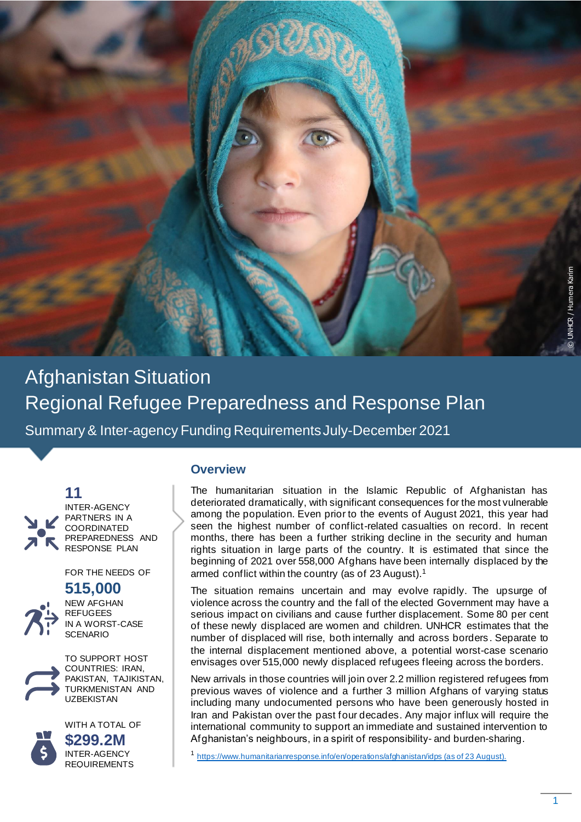

Afghanistan Situation Regional Refugee Preparedness and Response Plan

Summary & Inter-agency Funding RequirementsJuly-December 2021





INTER-AGENCY PARTNERS IN A COORDINATED PREPAREDNESS AND RESPONSE PLAN

FOR THE NEEDS OF

# **515,000**



NEW AFGHAN REFUGEES IN A WORST-CASE **SCENARIO** 



TO SUPPORT HOST COUNTRIES: IRAN, PAKISTAN, TAJIKISTAN, TURKMENISTAN AND UZBEKISTAN



WITH A TOTAL OF **\$299.2M** INTER-AGENCY REQUIREMENTS

### **Overview**

The humanitarian situation in the Islamic Republic of Afghanistan has deteriorated dramatically, with significant consequences for the most vulnerable among the population. Even prior to the events of August 2021, this year had seen the highest number of conflict-related casualties on record. In recent months, there has been a further striking decline in the security and human rights situation in large parts of the country. It is estimated that since the beginning of 2021 over 558,000 Afghans have been internally displaced by the armed conflict within the country (as of 23 August). 1

The situation remains uncertain and may evolve rapidly. The upsurge of violence across the country and the fall of the elected Government may have a serious impact on civilians and cause further displacement. Some 80 per cent of these newly displaced are women and children. UNHCR estimates that the number of displaced will rise, both internally and across borders . Separate to the internal displacement mentioned above, a potential worst-case scenario envisages over 515,000 newly displaced refugees fleeing across the borders.

New arrivals in those countries will join over 2.2 million registered refugees from previous waves of violence and a further 3 million Afghans of varying status including many undocumented persons who have been generously hosted in Iran and Pakistan over the past four decades. Any major influx will require the international community to support an immediate and sustained intervention to Afghanistan's neighbours, in a spirit of responsibility- and burden-sharing.

1 <https://www.humanitarianresponse.info/en/operations/afghanistan/idps> (as of 23 August).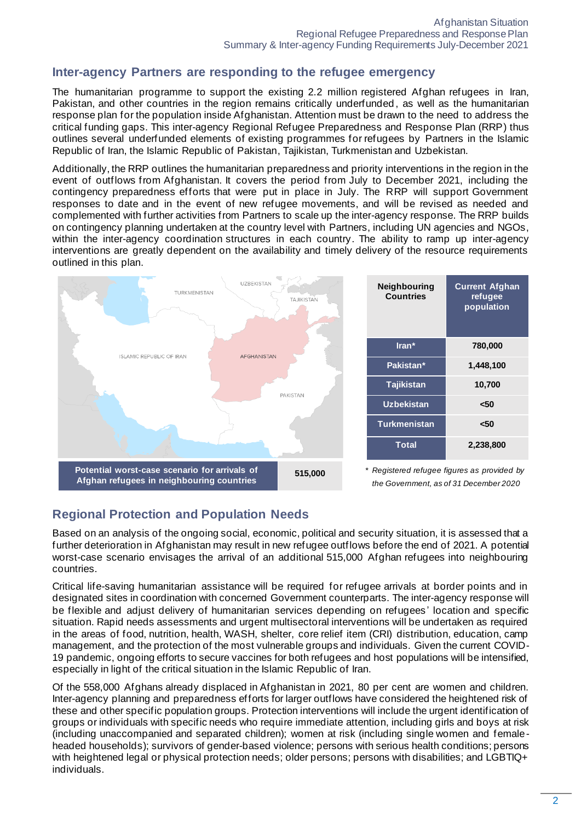## **Inter-agency Partners are responding to the refugee emergency**

The humanitarian programme to support the existing 2.2 million registered Afghan refugees in Iran, Pakistan, and other countries in the region remains critically underfunded , as well as the humanitarian response plan for the population inside Afghanistan. Attention must be drawn to the need to address the critical funding gaps. This inter-agency Regional Refugee Preparedness and Response Plan (RRP) thus outlines several underfunded elements of existing programmes for refugees by Partners in the Islamic Republic of Iran, the Islamic Republic of Pakistan, Tajikistan, Turkmenistan and Uzbekistan.

Additionally, the RRP outlines the humanitarian preparedness and priority interventions in the region in the event of outflows from Afghanistan. It covers the period from July to December 2021, including the contingency preparedness efforts that were put in place in July. The RRP will support Government responses to date and in the event of new refugee movements, and will be revised as needed and complemented with further activities from Partners to scale up the inter-agency response. The RRP builds on contingency planning undertaken at the country level with Partners, including UN agencies and NGOs, within the inter-agency coordination structures in each country. The ability to ramp up inter-agency interventions are greatly dependent on the availability and timely delivery of the resource requirements outlined in this plan.



## **Regional Protection and Population Needs**

Based on an analysis of the ongoing social, economic, political and security situation, it is assessed that a further deterioration in Afghanistan may result in new refugee outflows before the end of 2021. A potential worst-case scenario envisages the arrival of an additional 515,000 Afghan refugees into neighbouring countries.

Critical life-saving humanitarian assistance will be required for refugee arrivals at border points and in designated sites in coordination with concerned Government counterparts. The inter-agency response will be flexible and adjust delivery of humanitarian services depending on refugees' location and specific situation. Rapid needs assessments and urgent multisectoral interventions will be undertaken as required in the areas of food, nutrition, health, WASH, shelter, core relief item (CRI) distribution, education, camp management, and the protection of the most vulnerable groups and individuals. Given the current COVID-19 pandemic, ongoing efforts to secure vaccines for both refugees and host populations will be intensified, especially in light of the critical situation in the Islamic Republic of Iran.

Of the 558,000 Afghans already displaced in Afghanistan in 2021, 80 per cent are women and children. Inter-agency planning and preparedness efforts for larger outflows have considered the heightened risk of these and other specific population groups. Protection interventions will include the urgent identification of groups or individuals with specific needs who require immediate attention, including girls and boys at risk (including unaccompanied and separated children); women at risk (including single women and femaleheaded households); survivors of gender-based violence; persons with serious health conditions; persons with heightened legal or physical protection needs; older persons; persons with disabilities; and LGBTIQ+ individuals.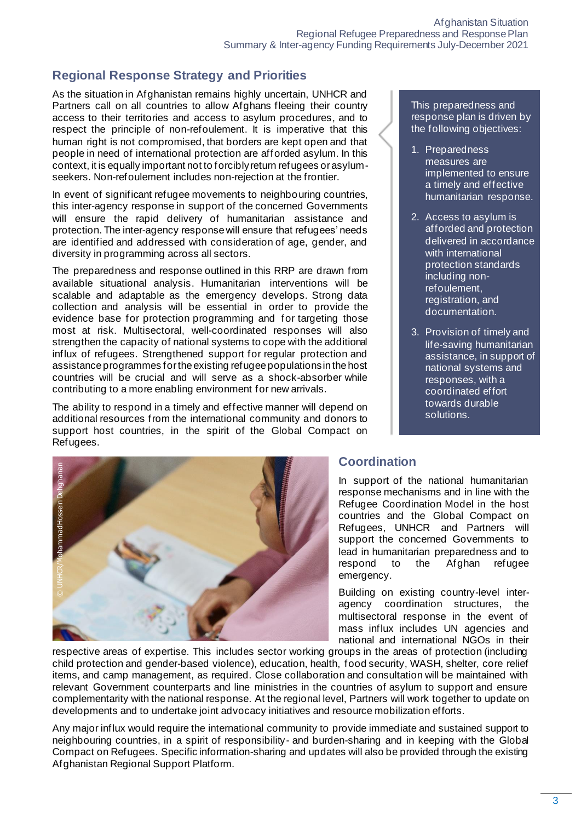## **Regional Response Strategy and Priorities**

As the situation in Afghanistan remains highly uncertain, UNHCR and Partners call on all countries to allow Afghans fleeing their country access to their territories and access to asylum procedures, and to respect the principle of non-refoulement. It is imperative that this human right is not compromised, that borders are kept open and that people in need of international protection are afforded asylum. In this context, it is equally important not to forcibly return refugees or asylumseekers. Non-refoulement includes non-rejection at the frontier.

In event of significant refugee movements to neighbouring countries, this inter-agency response in support of the concerned Governments will ensure the rapid delivery of humanitarian assistance and protection. The inter-agency response will ensure that refugees' needs are identified and addressed with consideration of age, gender, and diversity in programming across all sectors.

The preparedness and response outlined in this RRP are drawn from available situational analysis. Humanitarian interventions will be scalable and adaptable as the emergency develops. Strong data collection and analysis will be essential in order to provide the evidence base for protection programming and for targeting those most at risk. Multisectoral, well-coordinated responses will also strengthen the capacity of national systems to cope with the additional influx of refugees. Strengthened support for regular protection and assistance programmes for the existing refugee populations in the host countries will be crucial and will serve as a shock-absorber while contributing to a more enabling environment for new arrivals.

The ability to respond in a timely and effective manner will depend on additional resources from the international community and donors to support host countries, in the spirit of the Global Compact on Refugees.



#### This preparedness and response plan is driven by the following objectives:

- 1. Preparedness measures are implemented to ensure a timely and effective humanitarian response.
- 2. Access to asylum is afforded and protection delivered in accordance with international protection standards including nonrefoulement, registration, and documentation.
- 3. Provision of timely and life-saving humanitarian assistance, in support of national systems and responses, with a coordinated effort towards durable solutions.

## **Coordination**

In support of the national humanitarian response mechanisms and in line with the Refugee Coordination Model in the host countries and the Global Compact on Refugees, UNHCR and Partners will support the concerned Governments to lead in humanitarian preparedness and to respond to the Afghan refugee emergency.

Building on existing country-level interagency coordination structures, the multisectoral response in the event of mass influx includes UN agencies and national and international NGOs in their

respective areas of expertise. This includes sector working groups in the areas of protection (including child protection and gender-based violence), education, health, food security, WASH, shelter, core relief items, and camp management, as required. Close collaboration and consultation will be maintained with relevant Government counterparts and line ministries in the countries of asylum to support and ensure complementarity with the national response. At the regional level, Partners will work together to update on developments and to undertake joint advocacy initiatives and resource mobilization efforts.

Any major influx would require the international community to provide immediate and sustained support to neighbouring countries, in a spirit of responsibility- and burden-sharing and in keeping with the Global Compact on Refugees. Specific information-sharing and updates will also be provided through the existing Afghanistan Regional Support Platform.